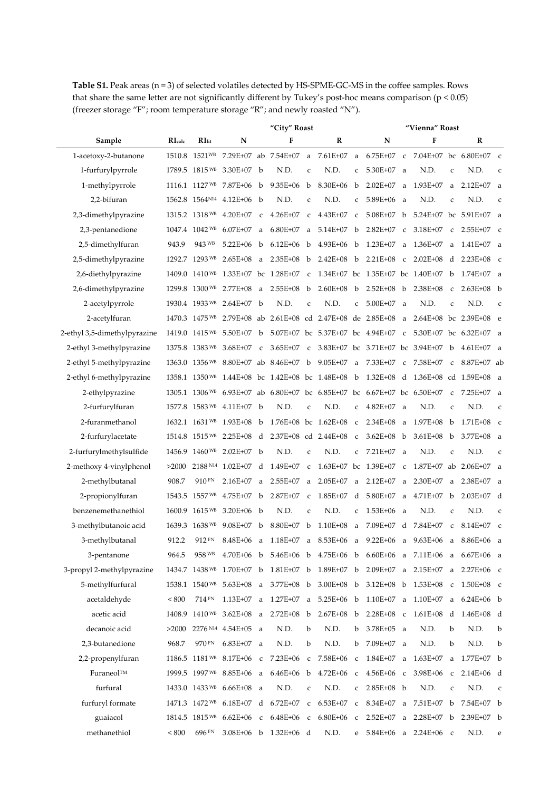**Table S1.** Peak areas (n = 3) of selected volatiles detected by HS-SPME-GC-MS in the coffee samples. Rows that share the same letter are not significantly different by Tukey's post-hoc means comparison (p < 0.05) (freezer storage "F"; room temperature storage "R"; and newly roasted "N").

|                              |              |                | "City" Roast                                   |             |                                                                        |              |                      |              | "Vienna" Roast                     |              |                                                                   |              |                        |              |  |
|------------------------------|--------------|----------------|------------------------------------------------|-------------|------------------------------------------------------------------------|--------------|----------------------|--------------|------------------------------------|--------------|-------------------------------------------------------------------|--------------|------------------------|--------------|--|
| Sample                       | RIcalc       | RIit           | N                                              |             | F                                                                      |              | R                    |              | N                                  |              | F                                                                 |              | R                      |              |  |
| 1-acetoxy-2-butanone         |              |                |                                                |             | 1510.8 1521WB 7.29E+07 ab 7.54E+07 a 7.61E+07                          |              |                      |              |                                    |              | a 6.75E+07 c 7.04E+07 bc 6.80E+07 c                               |              |                        |              |  |
| 1-furfurylpyrrole            |              |                | 1789.5 1815WB 3.30E+07 b                       |             | N.D.                                                                   | $\mathsf{C}$ | N.D.                 | c            | $5.30E+07$ a                       |              | N.D.                                                              | $\mathsf c$  | N.D.                   | $\mathsf{C}$ |  |
| 1-methylpyrrole              |              |                | 1116.1 1127 WB 7.87E+06                        | $\mathbf b$ | $9.35E + 06$                                                           | b            | 8.30E+06             | b            | $2.02E + 07$                       | a            | $1.93E+07$                                                        | a            | $2.12E+07$             | a            |  |
| 2,2-bifuran                  |              |                | 1562.8 1564 <sup>N14</sup> 4.12E+06            | b           | N.D.                                                                   | $\mathsf C$  | N.D.                 | C            | 5.89E+06                           | a            | N.D.                                                              | $\mathsf c$  | N.D.                   | $\mathsf C$  |  |
| 2,3-dimethylpyrazine         |              |                | 1315.2 1318 WB 4.20E+07                        | $\mathbf C$ | $4.26E + 07$                                                           | $\mathsf{C}$ | 4.43E+07             | $\mathsf{C}$ | $5.08E+07$ b                       |              |                                                                   |              | 5.24E+07 bc 5.91E+07 a |              |  |
| 2,3-pentanedione             |              |                | 1047.4 1042 WB 6.07E+07                        | a           | 6.80E+07                                                               | a            | $5.14E + 07$         | b            | $2.82E+07$                         | $\mathbf c$  | 3.18E+07                                                          | $\mathbf c$  | 2.55E+07               | $\mathbf c$  |  |
| 2,5-dimethylfuran            | 943.9        | 943 WB         | $5.22E + 06$                                   | b           | $6.12E + 06$                                                           | b            | $4.93E + 06$         | b            | 1.23E+07                           | a            | 1.36E+07                                                          | a            | $1.41E+07$ a           |              |  |
| 2,5-dimethylpyrazine         |              |                | 1292.7 1293 WB 2.65E+08                        | a           | $2.35E+08$                                                             | b            | $2.42E + 08$         | b            | $2.21E + 08$                       | $\mathbf c$  | $2.02E + 08$                                                      | d            | $2.23E+08$ c           |              |  |
| 2,6-diethylpyrazine          |              |                | 1409.0 1410 <sup>WB</sup> 1.33E+07 bc 1.28E+07 |             |                                                                        | $\mathbf c$  |                      |              | 1.34E+07 bc 1.35E+07 bc 1.40E+07   |              |                                                                   | b            | $1.74E+07$ a           |              |  |
| 2,6-dimethylpyrazine         |              |                | 1299.8 1300 WB 2.77E+08                        | a           | 2.55E+08                                                               | b            | $2.60E + 08$         | b            |                                    |              | $2.52E+08$ b $2.38E+08$                                           | $\mathsf{C}$ | $2.63E+08$ b           |              |  |
| 2-acetylpyrrole              |              |                | 1930.4 1933 WB 2.64E+07                        | b           | N.D.                                                                   | $\mathsf C$  | N.D.                 | $\mathsf{C}$ | 5.00E+07                           | a            | N.D.                                                              | $\mathsf c$  | N.D.                   | $\mathsf{C}$ |  |
| 2-acetylfuran                |              |                |                                                |             | 1470.3 1475 <sup>WB</sup> 2.79E+08 ab 2.61E+08 cd 2.47E+08 de 2.85E+08 |              |                      |              |                                    | a            |                                                                   |              | 2.64E+08 bc 2.39E+08 e |              |  |
| 2-ethyl 3,5-dimethylpyrazine |              |                | 1419.0 1415WB 5.50E+07 b                       |             |                                                                        |              |                      |              | 5.07E+07 bc 5.37E+07 bc 4.94E+07 c |              | 5.30E+07 bc 6.32E+07 a                                            |              |                        |              |  |
| 2-ethyl 3-methylpyrazine     |              | 1375.8 1383WB  | $3.68E + 07$                                   | $\mathbf c$ | $3.65E+07$                                                             | $\mathbf{C}$ |                      |              |                                    |              | 3.83E+07 bc 3.71E+07 bc 3.94E+07 b                                |              | $4.61E+07$ a           |              |  |
| 2-ethyl 5-methylpyrazine     |              |                |                                                |             | 1363.0 1356 WB 8.80E+07 ab 8.46E+07 b                                  |              | $9.05E + 07$         | a            | 7.33E+07                           | $\mathbf c$  | 7.58E+07                                                          | $\mathbf c$  | $8.87E+07$ ab          |              |  |
| 2-ethyl 6-methylpyrazine     |              |                |                                                |             | 1358.1 1350WB 1.44E+08 bc 1.42E+08 bc 1.48E+08                         |              |                      | $\mathbf b$  | $1.32E + 08 d$                     |              | 1.36E+08 cd 1.59E+08 a                                            |              |                        |              |  |
| 2-ethylpyrazine              |              | 1305.1 1306 WB |                                                |             | 6.93E+07 ab $6.80E+07$ bc $6.85E+07$ bc $6.67E+07$ bc $6.50E+07$       |              |                      |              |                                    |              |                                                                   | $\mathsf{C}$ | 7.25E+07               | <sub>a</sub> |  |
| 2-furfurylfuran              |              |                | 1577.8 1583WB 4.11E+07 b                       |             | N.D.                                                                   | $\mathsf{C}$ | N.D.                 | c            | $4.82E+07$ a                       |              | N.D.                                                              | $\mathsf C$  | N.D.                   | $\mathsf{C}$ |  |
| 2-furanmethanol              |              |                | 1632.1 1631 WB 1.93E+08                        | b           |                                                                        |              | 1.76E+08 bc 1.62E+08 | $\mathsf{C}$ | $2.34E + 08$                       | a            | $1.97E + 08$                                                      | b            | 1.71E+08               | $\mathbf{C}$ |  |
| 2-furfurylacetate            |              |                | 1514.8 1515 WB 2.25E+08                        | d           |                                                                        |              | 2.37E+08 cd 2.44E+08 | $\mathbf{C}$ | $3.62E + 08$                       | b            | $3.61E + 08$                                                      | b            | $3.77E + 08$           | a            |  |
| 2-furfurylmethylsulfide      |              |                | 1456.9 1460WB 2.02E+07 b                       |             | N.D.                                                                   | C            | N.D.                 | C            | $7.21E+07$ a                       |              | N.D.                                                              | C            | N.D.                   | $\mathsf{C}$ |  |
| 2-methoxy 4-vinylphenol      | >2000        |                | 2188 N <sub>14</sub> 1.02E+07                  | d           | 1.49E+07                                                               | $\mathsf{C}$ |                      |              | 1.63E+07 bc 1.39E+07               | $\mathsf{C}$ |                                                                   |              | 1.87E+07 ab 2.06E+07   | a            |  |
| 2-methylbutanal              | 908.7        | $910$ FN       | $2.16E+07$                                     | a           | $2.55E+07$                                                             | a            | $2.05E + 07$         | a            | $2.12E + 07$                       | a            | $2.30E+07$                                                        | a            | $2.38E+07$             | a            |  |
| 2-propionylfuran             |              | 1543.5 1557 WB | 4.75E+07                                       | b           | 2.87E+07                                                               | $\mathbf C$  | 1.85E+07             | d            | 5.80E+07                           | a            | 4.71E+07                                                          | b            | $2.03E+07$ d           |              |  |
| benzenemethanethiol          | 1600.9       | $1615$ WB      | $3.20E + 06$ b                                 |             | N.D.                                                                   | $\mathsf C$  | N.D.                 | $\mathbf{C}$ | $1.53E+06$ a                       |              | N.D.                                                              | $\mathsf c$  | N.D.                   | $\mathsf{C}$ |  |
| 3-methylbutanoic acid        |              | 1639.3 1638 WB | $9.08E + 07$                                   | b           | 8.80E+07                                                               | b            | $1.10E + 08$         | a            | 7.09E+07                           | d            | 7.84E+07                                                          | C            | $8.14E+07$ c           |              |  |
| 3-methylbutanal              | 912.2        | 912 FN         | 8.48E+06                                       | a           | 1.18E+07                                                               | a            | 8.53E+06             | a            | $9.22E + 06$                       | a            | $9.63E + 06$                                                      | a            | 8.86E+06               | <sub>a</sub> |  |
| 3-pentanone                  | 964.5        | 958 WB         |                                                |             |                                                                        |              |                      |              |                                    |              | 4.70E+06 b 5.46E+06 b 4.75E+06 b 6.60E+06 a 7.11E+06 a 6.67E+06 a |              |                        |              |  |
| 3-propyl 2-methylpyrazine    |              |                | 1434.7 1438 WB 1.70E+07 b                      |             | 1.81E+07 b                                                             |              | 1.89E+07 b           |              |                                    |              | $2.09E+07$ a $2.15E+07$ a                                         |              | $2.27E+06$ c           |              |  |
| 5-methylfurfural             |              |                |                                                |             | 1538.1 1540 <sup>WB</sup> 5.63E+08 a 3.77E+08 b                        |              | $3.00E + 08$ b       |              |                                    |              | $3.12E+08$ b $1.53E+08$ c                                         |              | 1.50E+08 c             |              |  |
| acetaldehyde                 | ${}_{< 800}$ | 714 FN         | 1.13E+07                                       |             | a 1.27E+07                                                             |              |                      |              |                                    |              | a 5.25E+06 b 1.10E+07 a 1.10E+07                                  |              | a 6.24E+06 b           |              |  |
| acetic acid                  |              |                | 1408.9 1410 WB 3.62E+08 a                      |             | $2.72E+08$ b                                                           |              | $2.67E + 08$ b       |              | $2.28E+08$ c                       |              | 1.61E+08 d 1.46E+08 d                                             |              |                        |              |  |
| decanoic acid                | >2000        |                | $2276^{N14}$ 4.54E+05 a                        |             | N.D.                                                                   | b            | N.D.                 | b            | $3.78E + 05$ a                     |              | N.D.                                                              | b            | N.D.                   | b            |  |
| 2,3-butanedione              | 968.7        | 970 FN         | $6.83E+07$ a                                   |             | N.D.                                                                   | b            | N.D.                 | b            | 7.09E+07 a                         |              | N.D.                                                              | b            | N.D.                   | b            |  |
| 2,2-propenylfuran            |              |                | 1186.5 1181 <sup>WB</sup> 8.17E+06 c           |             | 7.23E+06                                                               | $\mathsf{C}$ | 7.58E+06             | $\mathsf{C}$ | 1.84E+07                           | a            | $1.63E+07$                                                        | a            | $1.77E+07$ b           |              |  |
| Furaneol™                    |              |                | 1999.5 1997 WB 8.85E+06 a                      |             | 6.46E+06                                                               | b            | $4.72E + 06$         | $\mathbf{C}$ | $4.56E + 06$ c                     |              | $3.98E + 06$                                                      | $\mathsf C$  | $2.14E+06$ d           |              |  |
| furfural                     |              |                | 1433.0 1433 <sup>WB</sup> 6.66E+08 a           |             | N.D.                                                                   | $\mathsf C$  | N.D.                 | C            | $2.85E+08$ b                       |              | N.D.                                                              | $\mathsf c$  | N.D.                   | $\mathsf{C}$ |  |
| furfuryl formate             |              |                | 1471.3 1472 WB 6.18E+07 d 6.72E+07             |             |                                                                        | $\mathsf{C}$ | 6.53E+07             | $\mathsf{C}$ |                                    |              | $8.34E+07$ a $7.51E+07$ b                                         |              | $7.54E+07$ b           |              |  |
| guaiacol                     |              |                | 1814.5 1815 <sup>WB</sup> 6.62E+06 c           |             | $6.48E + 06$ c                                                         |              | 6.80E+06             | $\mathsf{C}$ |                                    |              | 2.52E+07 a 2.28E+07 b 2.39E+07 b                                  |              |                        |              |  |
| methanethiol                 | ${}_{< 800}$ | 696 FN         |                                                |             | 3.08E+06 b 1.32E+06 d                                                  |              | N.D.                 | e            |                                    |              | 5.84E+06 a 2.24E+06 c                                             |              | N.D.                   | e            |  |